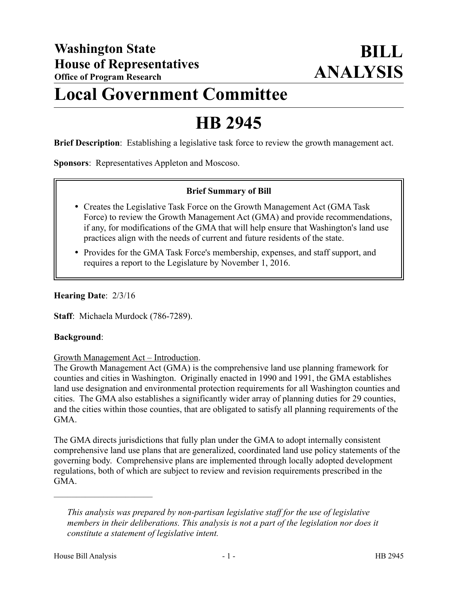# **Local Government Committee**

# **HB 2945**

**Brief Description**: Establishing a legislative task force to review the growth management act.

**Sponsors**: Representatives Appleton and Moscoso.

# **Brief Summary of Bill**

- Creates the Legislative Task Force on the Growth Management Act (GMA Task Force) to review the Growth Management Act (GMA) and provide recommendations, if any, for modifications of the GMA that will help ensure that Washington's land use practices align with the needs of current and future residents of the state.
- Provides for the GMA Task Force's membership, expenses, and staff support, and requires a report to the Legislature by November 1, 2016.

### **Hearing Date**: 2/3/16

**Staff**: Michaela Murdock (786-7289).

#### **Background**:

#### Growth Management Act – Introduction.

The Growth Management Act (GMA) is the comprehensive land use planning framework for counties and cities in Washington. Originally enacted in 1990 and 1991, the GMA establishes land use designation and environmental protection requirements for all Washington counties and cities. The GMA also establishes a significantly wider array of planning duties for 29 counties, and the cities within those counties, that are obligated to satisfy all planning requirements of the GMA.

The GMA directs jurisdictions that fully plan under the GMA to adopt internally consistent comprehensive land use plans that are generalized, coordinated land use policy statements of the governing body. Comprehensive plans are implemented through locally adopted development regulations, both of which are subject to review and revision requirements prescribed in the GMA.

––––––––––––––––––––––

*This analysis was prepared by non-partisan legislative staff for the use of legislative members in their deliberations. This analysis is not a part of the legislation nor does it constitute a statement of legislative intent.*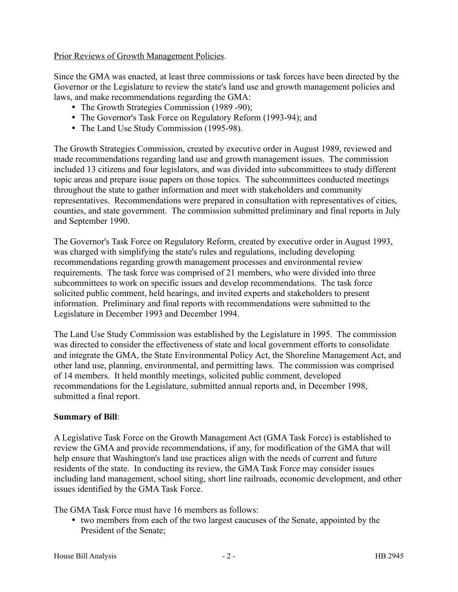Prior Reviews of Growth Management Policies.

Since the GMA was enacted, at least three commissions or task forces have been directed by the Governor or the Legislature to review the state's land use and growth management policies and laws, and make recommendations regarding the GMA:

- The Growth Strategies Commission (1989 -90);
- The Governor's Task Force on Regulatory Reform (1993-94); and
- The Land Use Study Commission (1995-98).

The Growth Strategies Commission, created by executive order in August 1989, reviewed and made recommendations regarding land use and growth management issues. The commission included 13 citizens and four legislators, and was divided into subcommittees to study different topic areas and prepare issue papers on those topics. The subcommittees conducted meetings throughout the state to gather information and meet with stakeholders and community representatives. Recommendations were prepared in consultation with representatives of cities, counties, and state government. The commission submitted preliminary and final reports in July and September 1990.

The Governor's Task Force on Regulatory Reform, created by executive order in August 1993, was charged with simplifying the state's rules and regulations, including developing recommendations regarding growth management processes and environmental review requirements. The task force was comprised of 21 members, who were divided into three subcommittees to work on specific issues and develop recommendations. The task force solicited public comment, held hearings, and invited experts and stakeholders to present information. Preliminary and final reports with recommendations were submitted to the Legislature in December 1993 and December 1994.

The Land Use Study Commission was established by the Legislature in 1995. The commission was directed to consider the effectiveness of state and local government efforts to consolidate and integrate the GMA, the State Environmental Policy Act, the Shoreline Management Act, and other land use, planning, environmental, and permitting laws. The commission was comprised of 14 members. It held monthly meetings, solicited public comment, developed recommendations for the Legislature, submitted annual reports and, in December 1998, submitted a final report.

# **Summary of Bill**:

A Legislative Task Force on the Growth Management Act (GMA Task Force) is established to review the GMA and provide recommendations, if any, for modification of the GMA that will help ensure that Washington's land use practices align with the needs of current and future residents of the state. In conducting its review, the GMA Task Force may consider issues including land management, school siting, short line railroads, economic development, and other issues identified by the GMA Task Force.

The GMA Task Force must have 16 members as follows:

 two members from each of the two largest caucuses of the Senate, appointed by the President of the Senate;